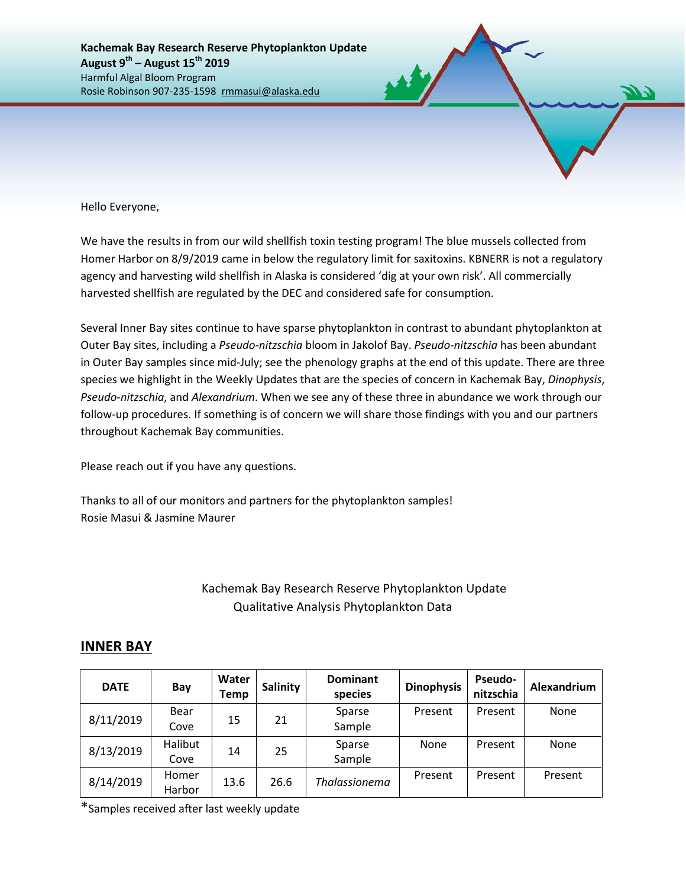Hello Everyone,

We have the results in from our wild shellfish toxin testing program! The blue mussels collected from Homer Harbor on 8/9/2019 came in below the regulatory limit for saxitoxins. KBNERR is not a regulatory agency and harvesting wild shellfish in Alaska is considered 'dig at your own risk'. All commercially harvested shellfish are regulated by the DEC and considered safe for consumption.

Several Inner Bay sites continue to have sparse phytoplankton in contrast to abundant phytoplankton at Outer Bay sites, including a *Pseudo-nitzschia* bloom in Jakolof Bay. *Pseudo-nitzschia* has been abundant in Outer Bay samples since mid-July; see the phenology graphs at the end of this update. There are three species we highlight in the Weekly Updates that are the species of concern in Kachemak Bay, *Dinophysis*, *Pseudo-nitzschia*, and *Alexandrium*. When we see any of these three in abundance we work through our follow-up procedures. If something is of concern we will share those findings with you and our partners throughout Kachemak Bay communities.

Please reach out if you have any questions.

Thanks to all of our monitors and partners for the phytoplankton samples! Rosie Masui & Jasmine Maurer

## Kachemak Bay Research Reserve Phytoplankton Update Qualitative Analysis Phytoplankton Data

## **INNER BAY**

| <b>DATE</b> | Bay     | Water<br><b>Temp</b> | <b>Salinity</b> | <b>Dominant</b><br>species | <b>Dinophysis</b> | <b>Pseudo-</b><br>nitzschia | Alexandrium |  |
|-------------|---------|----------------------|-----------------|----------------------------|-------------------|-----------------------------|-------------|--|
|             | Bear    |                      | 21              | Sparse                     | Present           | Present                     | None        |  |
| 8/11/2019   | Cove    | 15                   |                 | Sample                     |                   |                             |             |  |
| 8/13/2019   | Halibut |                      | 25              | Sparse                     | None              | Present                     | None        |  |
|             | Cove    | 14                   |                 | Sample                     |                   |                             |             |  |
| 8/14/2019   | Homer   | 13.6                 | 26.6            | <b>Thalassionema</b>       | Present           | Present                     | Present     |  |
|             | Harbor  |                      |                 |                            |                   |                             |             |  |

\*Samples received after last weekly update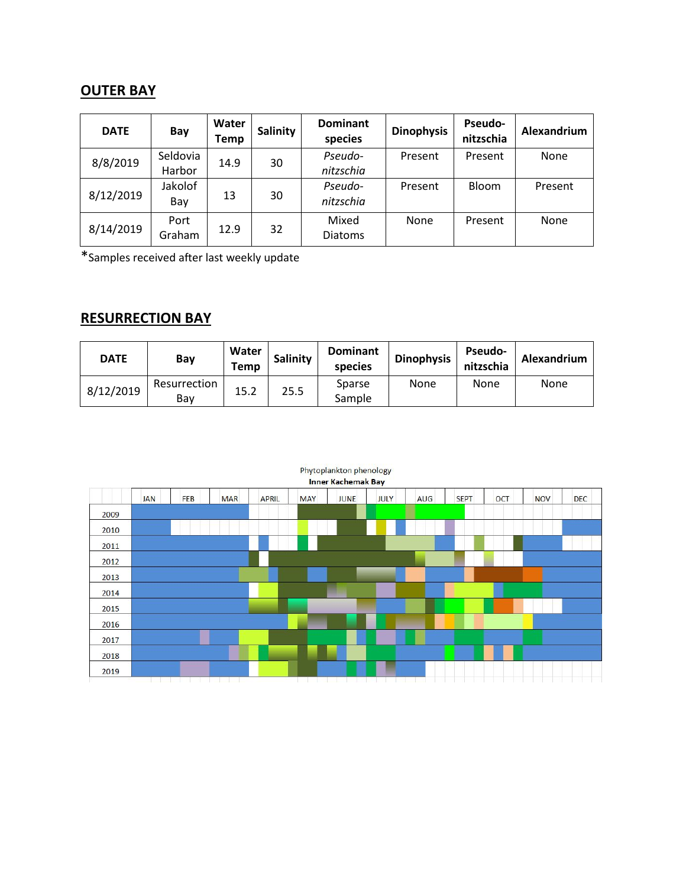## **OUTER BAY**

| <b>DATE</b> | Bay      | Water<br>Temp | Salinity | <b>Dominant</b><br>species | <b>Dinophysis</b> | <b>Pseudo-</b><br>nitzschia | Alexandrium |  |
|-------------|----------|---------------|----------|----------------------------|-------------------|-----------------------------|-------------|--|
| 8/8/2019    | Seldovia | 14.9          | 30       | Pseudo-                    | Present           | Present                     | None        |  |
|             | Harbor   |               |          | nitzschia                  |                   |                             |             |  |
| 8/12/2019   | Jakolof  | 13            | 30       | Pseudo-                    | Present           | Bloom                       | Present     |  |
|             | Bay      |               |          | nitzschia                  |                   |                             |             |  |
| 8/14/2019   | Port     |               |          | Mixed                      | None              | Present                     | None        |  |
|             | Graham   | 12.9          | 32       | <b>Diatoms</b>             |                   |                             |             |  |

\*Samples received after last weekly update

## **RESURRECTION BAY**

| <b>DATE</b> | Bay                 | Water<br>Temp | Salinity | <b>Dominant</b><br>species | <b>Dinophysis</b> | <b>Pseudo-</b><br>nitzschia | Alexandrium |
|-------------|---------------------|---------------|----------|----------------------------|-------------------|-----------------------------|-------------|
| 8/12/2019   | Resurrection<br>Bav | 15.2          | 25.5     | Sparse<br>Sample           | None              | None                        | None        |

|      |            |     |            |              |            | Phytoplankton phenology<br><b>Inner Kachemak Bay</b> |             |            |             |            |            |            |
|------|------------|-----|------------|--------------|------------|------------------------------------------------------|-------------|------------|-------------|------------|------------|------------|
|      | <b>JAN</b> | FEB | <b>MAR</b> | <b>APRIL</b> | <b>MAY</b> | <b>JUNE</b>                                          | <b>JULY</b> | <b>AUG</b> | <b>SEPT</b> | <b>OCT</b> | <b>NOV</b> | <b>DEC</b> |
| 2009 |            |     |            |              |            |                                                      |             |            |             |            |            |            |
| 2010 |            |     |            |              |            |                                                      |             |            |             |            |            |            |
| 2011 |            |     |            |              |            |                                                      |             |            |             |            |            |            |
| 2012 |            |     |            |              |            |                                                      |             |            |             |            |            |            |
| 2013 |            |     |            |              |            |                                                      |             |            |             |            |            |            |
| 2014 |            |     |            |              |            |                                                      |             |            |             |            |            |            |
| 2015 |            |     |            |              |            |                                                      |             |            |             |            |            |            |
| 2016 |            |     |            |              |            |                                                      |             |            |             |            |            |            |
| 2017 |            |     |            |              |            |                                                      |             |            |             |            |            |            |
| 2018 |            |     |            |              |            |                                                      |             |            |             |            |            |            |
| 2019 |            |     |            |              |            |                                                      |             |            |             |            |            |            |